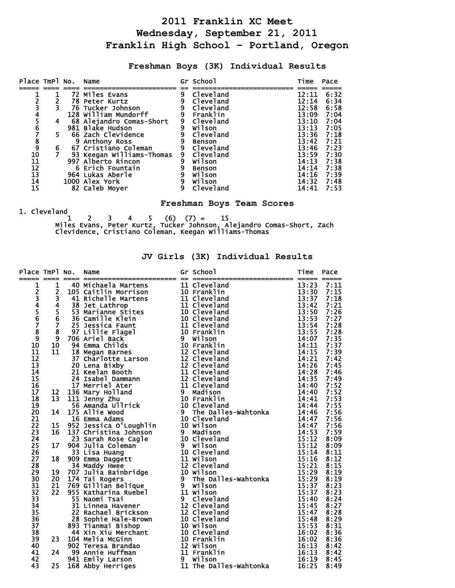## **2011 Franklin XC Meet Wednesday, September 21, 2011 Franklin High School – Portland, Oregon**

## **Freshman Boys (3K) Individual Results**

| Place TmPl No.  |   | Name                      |                | Gr School     | Time  | Pace |
|-----------------|---|---------------------------|----------------|---------------|-------|------|
|                 |   |                           |                |               |       |      |
|                 |   | 72 Miles Evans            |                | Cleveland     | 12:11 | 6:32 |
|                 |   | 78 Peter Kurtz            |                | 9 Cleveland   | 12:14 | 6:34 |
|                 |   | 76 Tucker Johnson         |                | 9 Cleveland   | 12:58 | 6:58 |
| 4               |   | 128 William Mundorff      | $\overline{9}$ | Franklin      | 13:09 | 7:04 |
| 5<br>6          |   | 68 Alejandro Comas-Short  | 9              | Cleveland     | 13:10 | 7:04 |
|                 |   | 981 Blake Hudson          | 9              | Wilson        | 13:13 | 7:05 |
|                 |   | 66 Zach Clevidence        |                | 9 Cleveland   | 13:36 | 7:18 |
| $\frac{8}{9}$   |   | 9 Anthony Ross            | 9              | <b>Benson</b> | 13:42 | 7:21 |
|                 | 6 | 67 Cristiano Coleman      | 9              | Cleveland     | 13:46 | 7:23 |
| 10              |   | 93 Keegan Williams-Thomas |                | 9 Cleveland   | 13:59 | 7:30 |
| $\frac{11}{12}$ |   | 997 Alberto Rincon        | 9              | Wilson        | 14:13 | 7:38 |
|                 |   | 6 Erich Fountain          |                | <b>Benson</b> | 14:14 | 7:38 |
| 13              |   | 964 Lukas Aberle          | 9              | Wilson        | 14:16 | 7:39 |
| 14              |   | 1000 Alex York            | 9              | Wilson        | 14:32 | 7:48 |
| 15              |   | 82 Caleb Moyer            | 9              | Cleveland     | 14:41 | 7:53 |

**Freshman Boys Team Scores** 

1. Cleveland

 $1 \quad 2 \quad 3 \quad 4 \quad 5 \quad (6) \quad (7) = \quad 15$  Miles Evans, Peter Kurtz, Tucker Johnson, Alejandro Comas-Short, Zach Clevidence, Cristiano Coleman, Keegan Williams-Thomas

|  |  |  | JV Girls (3K) Individual Results |  |
|--|--|--|----------------------------------|--|
|--|--|--|----------------------------------|--|

| Place TmPl No.  |                | Name<br>No. Name Correct Control of The Control of The Correct Correct Correct Correct 1 (1980)<br>14 Aichelle Martens 1 Cleveland<br>14 Aichelle Martens 11 Cleveland<br>16 S3 Jet Lathrop 11 Cleveland<br>35 Jet Lathrop 11 Cleveland<br>36 Ca | Gr School                                                                                                                                                                                                                                | Time                                                             | Pace         |
|-----------------|----------------|--------------------------------------------------------------------------------------------------------------------------------------------------------------------------------------------------------------------------------------------------|------------------------------------------------------------------------------------------------------------------------------------------------------------------------------------------------------------------------------------------|------------------------------------------------------------------|--------------|
|                 | 1              |                                                                                                                                                                                                                                                  |                                                                                                                                                                                                                                          | 13:23                                                            | 7:11         |
|                 | $\frac{2}{3}$  |                                                                                                                                                                                                                                                  |                                                                                                                                                                                                                                          | 13:30                                                            | 7:15         |
|                 |                |                                                                                                                                                                                                                                                  |                                                                                                                                                                                                                                          | 13:37                                                            | 7:18         |
|                 | $\overline{4}$ |                                                                                                                                                                                                                                                  |                                                                                                                                                                                                                                          | 13:42                                                            | 7:21         |
|                 | $\frac{5}{6}$  |                                                                                                                                                                                                                                                  |                                                                                                                                                                                                                                          | 13:50                                                            | 7:26         |
| 12345678        |                |                                                                                                                                                                                                                                                  |                                                                                                                                                                                                                                          | 13:53                                                            | 7:27         |
|                 | $\overline{7}$ |                                                                                                                                                                                                                                                  |                                                                                                                                                                                                                                          | 13:54                                                            | 7:28         |
|                 | 8              |                                                                                                                                                                                                                                                  |                                                                                                                                                                                                                                          | 13:55                                                            | 7:28         |
| $\overline{9}$  | $\overline{9}$ |                                                                                                                                                                                                                                                  |                                                                                                                                                                                                                                          | 14:07                                                            | 7:35         |
| 10              | 10             |                                                                                                                                                                                                                                                  |                                                                                                                                                                                                                                          | 14:11                                                            | 7:37         |
| 11              | 11             |                                                                                                                                                                                                                                                  |                                                                                                                                                                                                                                          | 14:15                                                            | 7:39         |
| 12              |                |                                                                                                                                                                                                                                                  |                                                                                                                                                                                                                                          | 14:21                                                            | 7:42         |
| 13              |                |                                                                                                                                                                                                                                                  |                                                                                                                                                                                                                                          | 14:26                                                            | 7:45         |
| 14              |                |                                                                                                                                                                                                                                                  |                                                                                                                                                                                                                                          | 14:28                                                            | 7:46         |
| 15              |                |                                                                                                                                                                                                                                                  |                                                                                                                                                                                                                                          | 14:35                                                            | 7:49         |
| 16              |                |                                                                                                                                                                                                                                                  |                                                                                                                                                                                                                                          | 14:40                                                            | 7:52         |
| 17              | 12             |                                                                                                                                                                                                                                                  |                                                                                                                                                                                                                                          | 14:40                                                            | 7:52         |
| 18              | 13             |                                                                                                                                                                                                                                                  |                                                                                                                                                                                                                                          | 14:41                                                            | 7:53         |
| 19<br>20        | 14             |                                                                                                                                                                                                                                                  |                                                                                                                                                                                                                                          | 14:44                                                            | 7:55         |
| 21              |                |                                                                                                                                                                                                                                                  | Cleveland<br>Cleveland<br>Madison<br>Franklin<br>Cleveland<br>The Dalles-Wahtonka<br>Cleveland<br>Wilson<br>Cleveland<br>Wilson<br>Cleveland<br>Wilson<br>Cleveland<br>Wilson<br>Cleveland<br>Wilson<br>Cleveland<br>Wilson<br>Cleveland | 14:46<br>14:47                                                   | 7:56<br>7:56 |
| 22              | 15             |                                                                                                                                                                                                                                                  |                                                                                                                                                                                                                                          | 14:47                                                            | 7:56         |
| 23              | 16             |                                                                                                                                                                                                                                                  |                                                                                                                                                                                                                                          | 14:53                                                            | 7:59         |
| 24              |                |                                                                                                                                                                                                                                                  |                                                                                                                                                                                                                                          | 15:12                                                            | 8:09         |
| 25              | 17             |                                                                                                                                                                                                                                                  |                                                                                                                                                                                                                                          | 15:12                                                            | 8:09         |
| 26              |                |                                                                                                                                                                                                                                                  |                                                                                                                                                                                                                                          | 15:14                                                            | 8:11         |
| 27              | 18             |                                                                                                                                                                                                                                                  |                                                                                                                                                                                                                                          | 15:16                                                            | 8:12         |
| 28              |                |                                                                                                                                                                                                                                                  |                                                                                                                                                                                                                                          |                                                                  | 8:15         |
| 29              | 19             |                                                                                                                                                                                                                                                  |                                                                                                                                                                                                                                          |                                                                  | 8:19         |
| 30              | 20             |                                                                                                                                                                                                                                                  | wilson<br>The Dalles-Wahtonka<br>Wilson<br>Wilson<br>Cleveland                                                                                                                                                                           | $15:21$<br>$15:29$<br>$15:29$                                    | 8:19         |
| $\overline{31}$ | 21             |                                                                                                                                                                                                                                                  |                                                                                                                                                                                                                                          | $\overline{15}: \overline{37}$<br>$\overline{15}: \overline{37}$ | 8:23         |
| $\frac{1}{32}$  | 22             |                                                                                                                                                                                                                                                  |                                                                                                                                                                                                                                          |                                                                  | 8:23         |
|                 |                |                                                                                                                                                                                                                                                  |                                                                                                                                                                                                                                          | 15:40                                                            | 8:24         |
| $\overline{34}$ |                |                                                                                                                                                                                                                                                  |                                                                                                                                                                                                                                          | 15:45                                                            | 8:27         |
| 35              |                |                                                                                                                                                                                                                                                  |                                                                                                                                                                                                                                          | 15:47                                                            | 8:28         |
| $\overline{36}$ |                |                                                                                                                                                                                                                                                  |                                                                                                                                                                                                                                          | 15:48                                                            | 8:29         |
| 37              |                |                                                                                                                                                                                                                                                  |                                                                                                                                                                                                                                          | 15:53                                                            | 8:31         |
| 38              |                |                                                                                                                                                                                                                                                  |                                                                                                                                                                                                                                          | 16:02                                                            | 8:36         |
| 39              | 23             |                                                                                                                                                                                                                                                  |                                                                                                                                                                                                                                          | 16:02                                                            | 8:36         |
| 40              |                |                                                                                                                                                                                                                                                  |                                                                                                                                                                                                                                          | 16:13                                                            | 8:42         |
| 41              | 24             |                                                                                                                                                                                                                                                  | יוס מינוצר.<br>11 Franklin<br>9  Wilson<br>11 The Dalles-Wahtonka                                                                                                                                                                        | 16:13                                                            | 8:42         |
| 42              |                |                                                                                                                                                                                                                                                  |                                                                                                                                                                                                                                          | 16:19                                                            | 8:45         |
| 43              | 25             |                                                                                                                                                                                                                                                  |                                                                                                                                                                                                                                          | 16:25                                                            | 8:49         |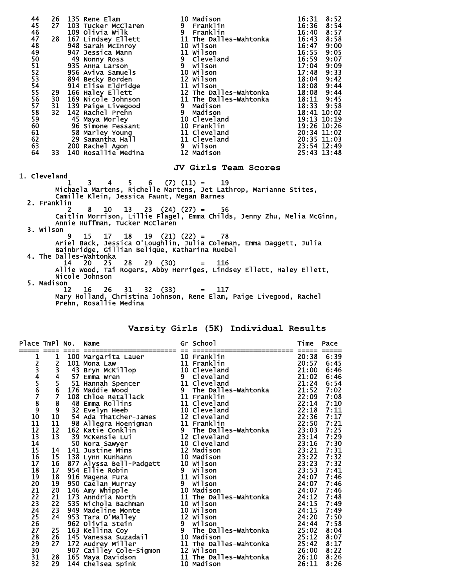|              |                                                                                     | 44<br>45 26 135 Rene Elam<br>46 27 103 Tucker McClaren<br>46 27 103 Olivia wilk<br>47 28 Difvia wilk<br>47 28 Sarah McInroy<br>47 Sarah McInroy<br>47 Sarah McInroy<br>47 Sarah McInroy<br>47 Sarah McInroy<br>47 Sarah McInroy<br>47 Sarah McInroy |  |
|--------------|-------------------------------------------------------------------------------------|-----------------------------------------------------------------------------------------------------------------------------------------------------------------------------------------------------------------------------------------------------|--|
|              |                                                                                     | JV Girls Team Scores                                                                                                                                                                                                                                |  |
| 1. Cleveland |                                                                                     |                                                                                                                                                                                                                                                     |  |
|              | $3 \t4 \t5 \t6 \t(7) (11) = 19$<br>1.<br>Camille Klein, Jessica Faunt, Megan Barnes | Michaela Martens, Richelle Martens, Jet Lathrop, Marianne Stites,                                                                                                                                                                                   |  |
| 2. Franklin  | $10 \quad 13 \quad 23 \quad (24) \quad (27) = \quad 56$<br>2<br>$\bf 8$             |                                                                                                                                                                                                                                                     |  |
|              |                                                                                     | Caitlin Morrison, Lillie Flagel, Emma Childs, Jenny Zhu, Melia McGinn,<br>Annie Huffman, Tucker McClaren                                                                                                                                            |  |
| 3. Wilson    |                                                                                     |                                                                                                                                                                                                                                                     |  |
|              | Bainbridge, Gillian Belique, Katharina Ruebel                                       | 9 15 17 18 19 (21) (22) = 78<br>Ariel Back, Jessica O'Loughlin, Julia Coleman, Emma Daggett, Julia                                                                                                                                                  |  |
|              | 4. The Dalles-Wahtonka<br>14  20  25  28  29  (30) = 116                            |                                                                                                                                                                                                                                                     |  |
|              | Nicole Johnson                                                                      | Allie Wood, Tai Rogers, Abby Herriges, Lindsey Ellett, Haley Ellett,                                                                                                                                                                                |  |
| 5. Madison   |                                                                                     |                                                                                                                                                                                                                                                     |  |
|              | Prehn, Rosallie Medina                                                              | $\begin{array}{r} 12 & 16 & 26 & 31 & 32 & (33) & = & 117 \end{array}$ Mary Holland, Christina Johnson, Rene Elam, Paige Livegood, Rachel                                                                                                           |  |
|              |                                                                                     |                                                                                                                                                                                                                                                     |  |

**Varsity Girls (5K) Individual Results** 

| Place TmPl No. |                | Name | Gr School                                                                                                                                                                                                                                           | Time        | Pace |
|----------------|----------------|------|-----------------------------------------------------------------------------------------------------------------------------------------------------------------------------------------------------------------------------------------------------|-------------|------|
| =====          | ====           |      | -----------------------                                                                                                                                                                                                                             | ===== ===== |      |
|                | 1              |      |                                                                                                                                                                                                                                                     | 20:38       | 6:39 |
|                | $\overline{2}$ |      |                                                                                                                                                                                                                                                     | 20:57       | 6:45 |
|                | 3              |      |                                                                                                                                                                                                                                                     | 21:00       | 6:46 |
|                | $\overline{4}$ |      |                                                                                                                                                                                                                                                     | 21:02       | 6:46 |
| 123456789      | $\frac{5}{6}$  |      | Mahtonka<br>$\begin{array}{r} 22:14 \\ 22:18 \\ 7:1 \\ 22:36 \\ 7:1 \\ 22:50 \\ 7:22:50 \\ 23:03 \\ 23:14 \\ 73:16 \\ 73:16 \end{array}$                                                                                                            | 21:24       | 6:54 |
|                |                |      |                                                                                                                                                                                                                                                     |             | 7:02 |
|                |                |      |                                                                                                                                                                                                                                                     |             | 7:08 |
|                | 8              |      |                                                                                                                                                                                                                                                     |             | 7:10 |
|                | $\overline{9}$ |      |                                                                                                                                                                                                                                                     |             | 7:11 |
| 10             | 10             |      |                                                                                                                                                                                                                                                     |             | 7:17 |
| 11             | 11             |      |                                                                                                                                                                                                                                                     |             | 7:21 |
| 12             | 12             |      |                                                                                                                                                                                                                                                     |             | 7:25 |
| 13             | 13             |      |                                                                                                                                                                                                                                                     |             | 7:29 |
| 14             |                |      |                                                                                                                                                                                                                                                     | 23:16       | 7:30 |
| 15             | 14             |      |                                                                                                                                                                                                                                                     | 23:21       | 7:31 |
| 16             | 15             |      |                                                                                                                                                                                                                                                     | 23:22       | 7:32 |
| 17             | 16             |      |                                                                                                                                                                                                                                                     | 23:23       | 7:32 |
| 18             | 17             |      |                                                                                                                                                                                                                                                     | 23:53       | 7:41 |
| 19             | 18             |      |                                                                                                                                                                                                                                                     | 24:07       | 7:46 |
|                | 19             |      |                                                                                                                                                                                                                                                     | 24:07       | 7:46 |
| 20<br>21       | 20             |      |                                                                                                                                                                                                                                                     | 24:07       | 7:46 |
| 22             | 21             |      |                                                                                                                                                                                                                                                     | 24:12       | 7:48 |
| 23             | 22             |      |                                                                                                                                                                                                                                                     | 24:15       | 7:49 |
| 24             | 23             |      |                                                                                                                                                                                                                                                     | 24:15       | 7:49 |
| 25             | 24             |      |                                                                                                                                                                                                                                                     | 24:20       | 7:50 |
| 26             |                |      |                                                                                                                                                                                                                                                     | 24:44       | 7:58 |
| 27             | 25             |      |                                                                                                                                                                                                                                                     | 25:02       | 8:04 |
| 28             | 26             |      |                                                                                                                                                                                                                                                     | 25:12       | 8:07 |
| 29             | 27             |      |                                                                                                                                                                                                                                                     | 25:42       | 8:17 |
| 30             |                |      |                                                                                                                                                                                                                                                     | 26:00       | 8:22 |
| 31             | 28             |      |                                                                                                                                                                                                                                                     | 26:10       | 8:26 |
| 32             | 29             |      | 100 Margarita Lauer<br>101 Mona Law<br>101 Mona Law<br>101 Mona Law<br>11 Care 11 Civilib 11 Franklin<br>11 Care 11 Civilib 11 Civilib<br>11 Care 11 Civilib 11 Civilib<br>108 Chloe Retallack<br>10 The palles-wahtonka<br>108 Chloe Retallack<br> | 26:11       | 8:26 |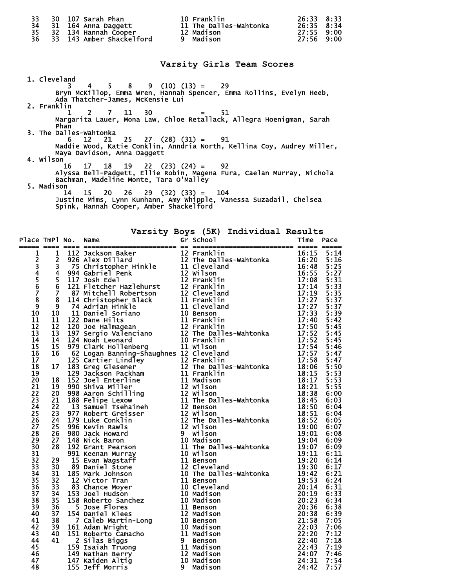| 30 107 Sarah Phan<br>34<br>31 164 Anna Daggett<br>35<br>32 134 Hannah Cooper<br>36 -<br>33 143 Amber Shackelford | 10 Franklin<br>26:33 8:33<br>11 The Dalles-Wahtonka<br>26:35 8:34<br>12 Madison<br>27:55 9:00<br>27:56 9:00<br>9 Madison |
|------------------------------------------------------------------------------------------------------------------|--------------------------------------------------------------------------------------------------------------------------|
|------------------------------------------------------------------------------------------------------------------|--------------------------------------------------------------------------------------------------------------------------|

**Varsity Girls Team Scores** 

 1. Cleveland  $3 \quad 4 \quad 5 \quad 8 \quad 9 \quad (10) \quad (13) = 29$  Bryn McKillop, Emma Wren, Hannah Spencer, Emma Rollins, Evelyn Heeb, Ada Thatcher-James, McKensie Lui 2. Franklin 1 2 7 11 30 = 51 Margarita Lauer, Mona Law, Chloe Retallack, Allegra Hoenigman, Sarah Phan 3. The Dalles-Wahtonka 6 12 21 25 27 (28) (31) = 91 Maddie Wood, Katie Conklin, Anndria North, Kellina Coy, Audrey Miller, Maya Davidson, Anna Daggett 4. Wilson 16 17 18 19 22 (23) (24) = 92 Alyssa Bell-Padgett, Ellie Robin, Magena Fura, Caelan Murray, Nichola Bachman, Madeline Monte, Tara O'Malley 5. Madison 14 15 20 26 29 (32) (33) = 104

 Justine Mims, Lynn Kunhann, Amy Whipple, Vanessa Suzadail, Chelsea Spink, Hannah Cooper, Amber Shackelford

**Varsity Boys (5K) Individual Results** 

|  |  | Place TmPl No. Name $\overline{gr}$ Gr School $\overline{gr}$ Time Pace $\overline{gr}$ and $\overline{gr}$ School $\overline{gr}$ Time Pace<br>$\begin{tabular}{@{}c c c c} $\mathsf{m}\mathsf{m}=\mathsf{m}\mathsf{m}=\mathsf{m}\mathsf{m}=\mathsf{m}\mathsf{m}=\mathsf{m}\mathsf{m}=\mathsf{m}\mathsf{m}=\mathsf{m}\mathsf{m}=\mathsf{m}\mathsf{m}=\mathsf{m}\mathsf{m}=\mathsf{m}\mathsf{m}=\mathsf{m}\mathsf{m}=\mathsf{m}\mathsf{m}=\mathsf{m}\mathsf{m}=\mathsf{m}\mathsf{m}=\mathsf{m}\mathsf{m}=\mathsf{m}\mathsf{m}=\mathsf{m}\mathsf{m}=\mathsf{m}\mathsf{m}=\mathsf{m}\$ |  |
|--|--|--------------------------------------------------------------------------------------------------------------------------------------------------------------------------------------------------------------------------------------------------------------------------------------------------------------------------------------------------------------------------------------------------------------------------------------------------------------------------------------------------------------------------------------------------------------------------------------|--|
|  |  |                                                                                                                                                                                                                                                                                                                                                                                                                                                                                                                                                                                      |  |
|  |  |                                                                                                                                                                                                                                                                                                                                                                                                                                                                                                                                                                                      |  |
|  |  |                                                                                                                                                                                                                                                                                                                                                                                                                                                                                                                                                                                      |  |
|  |  |                                                                                                                                                                                                                                                                                                                                                                                                                                                                                                                                                                                      |  |
|  |  |                                                                                                                                                                                                                                                                                                                                                                                                                                                                                                                                                                                      |  |
|  |  |                                                                                                                                                                                                                                                                                                                                                                                                                                                                                                                                                                                      |  |
|  |  |                                                                                                                                                                                                                                                                                                                                                                                                                                                                                                                                                                                      |  |
|  |  |                                                                                                                                                                                                                                                                                                                                                                                                                                                                                                                                                                                      |  |
|  |  |                                                                                                                                                                                                                                                                                                                                                                                                                                                                                                                                                                                      |  |
|  |  |                                                                                                                                                                                                                                                                                                                                                                                                                                                                                                                                                                                      |  |
|  |  |                                                                                                                                                                                                                                                                                                                                                                                                                                                                                                                                                                                      |  |
|  |  |                                                                                                                                                                                                                                                                                                                                                                                                                                                                                                                                                                                      |  |
|  |  |                                                                                                                                                                                                                                                                                                                                                                                                                                                                                                                                                                                      |  |
|  |  |                                                                                                                                                                                                                                                                                                                                                                                                                                                                                                                                                                                      |  |
|  |  |                                                                                                                                                                                                                                                                                                                                                                                                                                                                                                                                                                                      |  |
|  |  |                                                                                                                                                                                                                                                                                                                                                                                                                                                                                                                                                                                      |  |
|  |  |                                                                                                                                                                                                                                                                                                                                                                                                                                                                                                                                                                                      |  |
|  |  |                                                                                                                                                                                                                                                                                                                                                                                                                                                                                                                                                                                      |  |
|  |  |                                                                                                                                                                                                                                                                                                                                                                                                                                                                                                                                                                                      |  |
|  |  |                                                                                                                                                                                                                                                                                                                                                                                                                                                                                                                                                                                      |  |
|  |  |                                                                                                                                                                                                                                                                                                                                                                                                                                                                                                                                                                                      |  |
|  |  |                                                                                                                                                                                                                                                                                                                                                                                                                                                                                                                                                                                      |  |
|  |  |                                                                                                                                                                                                                                                                                                                                                                                                                                                                                                                                                                                      |  |
|  |  |                                                                                                                                                                                                                                                                                                                                                                                                                                                                                                                                                                                      |  |
|  |  |                                                                                                                                                                                                                                                                                                                                                                                                                                                                                                                                                                                      |  |
|  |  |                                                                                                                                                                                                                                                                                                                                                                                                                                                                                                                                                                                      |  |
|  |  |                                                                                                                                                                                                                                                                                                                                                                                                                                                                                                                                                                                      |  |
|  |  |                                                                                                                                                                                                                                                                                                                                                                                                                                                                                                                                                                                      |  |
|  |  |                                                                                                                                                                                                                                                                                                                                                                                                                                                                                                                                                                                      |  |
|  |  |                                                                                                                                                                                                                                                                                                                                                                                                                                                                                                                                                                                      |  |
|  |  |                                                                                                                                                                                                                                                                                                                                                                                                                                                                                                                                                                                      |  |
|  |  |                                                                                                                                                                                                                                                                                                                                                                                                                                                                                                                                                                                      |  |
|  |  |                                                                                                                                                                                                                                                                                                                                                                                                                                                                                                                                                                                      |  |
|  |  |                                                                                                                                                                                                                                                                                                                                                                                                                                                                                                                                                                                      |  |
|  |  |                                                                                                                                                                                                                                                                                                                                                                                                                                                                                                                                                                                      |  |
|  |  |                                                                                                                                                                                                                                                                                                                                                                                                                                                                                                                                                                                      |  |
|  |  |                                                                                                                                                                                                                                                                                                                                                                                                                                                                                                                                                                                      |  |
|  |  |                                                                                                                                                                                                                                                                                                                                                                                                                                                                                                                                                                                      |  |
|  |  |                                                                                                                                                                                                                                                                                                                                                                                                                                                                                                                                                                                      |  |
|  |  |                                                                                                                                                                                                                                                                                                                                                                                                                                                                                                                                                                                      |  |
|  |  |                                                                                                                                                                                                                                                                                                                                                                                                                                                                                                                                                                                      |  |
|  |  |                                                                                                                                                                                                                                                                                                                                                                                                                                                                                                                                                                                      |  |
|  |  |                                                                                                                                                                                                                                                                                                                                                                                                                                                                                                                                                                                      |  |
|  |  |                                                                                                                                                                                                                                                                                                                                                                                                                                                                                                                                                                                      |  |
|  |  |                                                                                                                                                                                                                                                                                                                                                                                                                                                                                                                                                                                      |  |
|  |  |                                                                                                                                                                                                                                                                                                                                                                                                                                                                                                                                                                                      |  |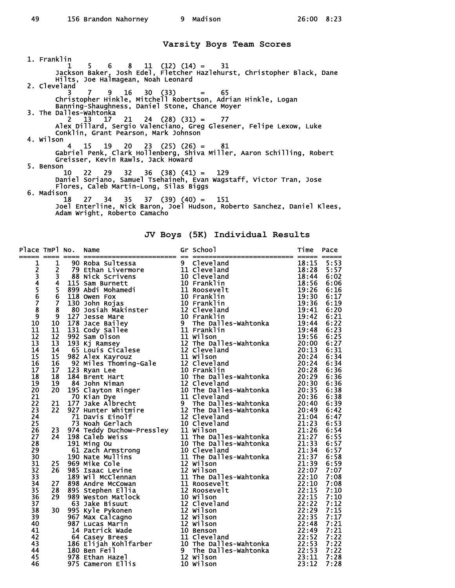**Varsity Boys Team Scores** 

 1. Franklin 1 5 6 8 11 (12) (14) = 31 Jackson Baker, Josh Edel, Fletcher Hazlehurst, Christopher Black, Dane Hilts, Joe Halmagean, Noah Leonard 2. Cleveland 3 7 9 16 30 (33) = 65 Christopher Hinkle, Mitchell Robertson, Adrian Hinkle, Logan Banning-Shaughness, Daniel Stone, Chance Moyer 3. The Dalles-Wahtonka 2 13 17 21 24 (28) (31) = 77 Alex Dillard, Sergio Valenciano, Greg Glesener, Felipe Lexow, Luke Conklin, Grant Pearson, Mark Johnson 4. Wilson  $\overline{4}$  4 15 19 20 23 (25) (26) = 81 Gabriel Penk, Clark Hollenberg, Shiva Miller, Aaron Schilling, Robert Greisser, Kevin Rawls, Jack Howard 5. Benson 10 22 29 32 36 (38) (41) = 129 Daniel Soriano, Samuel Tsehaineh, Evan Wagstaff, Victor Tran, Jose Flores, Caleb Martin-Long, Silas Biggs 6. Madison 18 27 34 35 37 (39) (40) = 151 Joel Enterline, Nick Baron, Joel Hudson, Roberto Sanchez, Daniel Klees, Adam Wright, Roberto Camacho

**JV Boys (5K) Individual Results** 

|                                                                                                                      |  |  | The books and the state of school in the state of school in the state of $\frac{12}{115}$ and $\frac{12}{115}$ and $\frac{12}{115}$ and $\frac{12}{115}$ and $\frac{12}{115}$ and $\frac{12}{115}$ and $\frac{12}{115}$ and $\frac{12}{115}$ and $\frac{12}{115}$ |  |
|----------------------------------------------------------------------------------------------------------------------|--|--|-------------------------------------------------------------------------------------------------------------------------------------------------------------------------------------------------------------------------------------------------------------------|--|
|                                                                                                                      |  |  |                                                                                                                                                                                                                                                                   |  |
| $\frac{1}{2}$<br>$\frac{3}{4}$<br>$\frac{4}{5}$<br>$\frac{5}{6}$<br>$\frac{7}{8}$<br>$\frac{8}{9}$<br>$\frac{9}{10}$ |  |  |                                                                                                                                                                                                                                                                   |  |
|                                                                                                                      |  |  |                                                                                                                                                                                                                                                                   |  |
|                                                                                                                      |  |  |                                                                                                                                                                                                                                                                   |  |
|                                                                                                                      |  |  |                                                                                                                                                                                                                                                                   |  |
|                                                                                                                      |  |  |                                                                                                                                                                                                                                                                   |  |
|                                                                                                                      |  |  |                                                                                                                                                                                                                                                                   |  |
|                                                                                                                      |  |  |                                                                                                                                                                                                                                                                   |  |
|                                                                                                                      |  |  |                                                                                                                                                                                                                                                                   |  |
|                                                                                                                      |  |  |                                                                                                                                                                                                                                                                   |  |
| 11                                                                                                                   |  |  |                                                                                                                                                                                                                                                                   |  |
| $\overline{12}$                                                                                                      |  |  |                                                                                                                                                                                                                                                                   |  |
| 13                                                                                                                   |  |  |                                                                                                                                                                                                                                                                   |  |
| 14                                                                                                                   |  |  |                                                                                                                                                                                                                                                                   |  |
| $\overline{15}$                                                                                                      |  |  |                                                                                                                                                                                                                                                                   |  |
| 16                                                                                                                   |  |  |                                                                                                                                                                                                                                                                   |  |
| 17                                                                                                                   |  |  |                                                                                                                                                                                                                                                                   |  |
| 18                                                                                                                   |  |  |                                                                                                                                                                                                                                                                   |  |
| 19                                                                                                                   |  |  |                                                                                                                                                                                                                                                                   |  |
| 20                                                                                                                   |  |  |                                                                                                                                                                                                                                                                   |  |
| 21                                                                                                                   |  |  |                                                                                                                                                                                                                                                                   |  |
| 22                                                                                                                   |  |  |                                                                                                                                                                                                                                                                   |  |
| $\overline{2}\overline{3}$                                                                                           |  |  |                                                                                                                                                                                                                                                                   |  |
| 24                                                                                                                   |  |  |                                                                                                                                                                                                                                                                   |  |
| $\overline{25}$                                                                                                      |  |  |                                                                                                                                                                                                                                                                   |  |
| 26                                                                                                                   |  |  |                                                                                                                                                                                                                                                                   |  |
| 27                                                                                                                   |  |  |                                                                                                                                                                                                                                                                   |  |
| 28                                                                                                                   |  |  |                                                                                                                                                                                                                                                                   |  |
| 29                                                                                                                   |  |  |                                                                                                                                                                                                                                                                   |  |
| 30                                                                                                                   |  |  |                                                                                                                                                                                                                                                                   |  |
| 31                                                                                                                   |  |  |                                                                                                                                                                                                                                                                   |  |
| 32                                                                                                                   |  |  |                                                                                                                                                                                                                                                                   |  |
| $\overline{3}$                                                                                                       |  |  |                                                                                                                                                                                                                                                                   |  |
| 34                                                                                                                   |  |  |                                                                                                                                                                                                                                                                   |  |
| $\overline{35}$                                                                                                      |  |  |                                                                                                                                                                                                                                                                   |  |
| 36                                                                                                                   |  |  |                                                                                                                                                                                                                                                                   |  |
| 37                                                                                                                   |  |  |                                                                                                                                                                                                                                                                   |  |
| 38                                                                                                                   |  |  |                                                                                                                                                                                                                                                                   |  |
| 39                                                                                                                   |  |  |                                                                                                                                                                                                                                                                   |  |
| 40                                                                                                                   |  |  |                                                                                                                                                                                                                                                                   |  |
| 41                                                                                                                   |  |  |                                                                                                                                                                                                                                                                   |  |
| 42                                                                                                                   |  |  |                                                                                                                                                                                                                                                                   |  |
| 43                                                                                                                   |  |  |                                                                                                                                                                                                                                                                   |  |
| 44                                                                                                                   |  |  |                                                                                                                                                                                                                                                                   |  |
| 45                                                                                                                   |  |  |                                                                                                                                                                                                                                                                   |  |
| 46                                                                                                                   |  |  | 10 Wilson                                                                                                                                                                                                                                                         |  |
|                                                                                                                      |  |  |                                                                                                                                                                                                                                                                   |  |